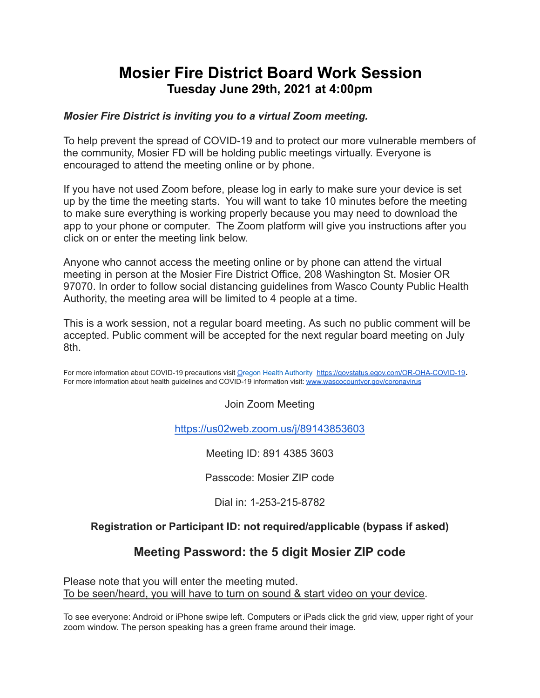# **Mosier Fire District Board Work Session Tuesday June 29th, 2021 at 4:00pm**

### *Mosier Fire District is inviting you to a virtual Zoom meeting.*

To help prevent the spread of COVID-19 and to protect our more vulnerable members of the community, Mosier FD will be holding public meetings virtually. Everyone is encouraged to attend the meeting online or by phone.

If you have not used Zoom before, please log in early to make sure your device is set up by the time the meeting starts. You will want to take 10 minutes before the meeting to make sure everything is working properly because you may need to download the app to your phone or computer. The Zoom platform will give you instructions after you click on or enter the meeting link below.

Anyone who cannot access the meeting online or by phone can attend the virtual meeting in person at the Mosier Fire District Office, 208 Washington St. Mosier OR 97070. In order to follow social distancing guidelines from Wasco County Public Health Authority, the meeting area will be limited to 4 people at a time.

This is a work session, not a regular board meeting. As such no public comment will be accepted. Public comment will be accepted for the next regular board meeting on July 8th.

For more information about C[O](http://www.xxx.org/coronavirus)VID-19 precautions visit Oregon Health Authority <https://govstatus.egov.com/OR-OHA-COVID-19>. For more information about health guidelines and COVID-19 information visit: [www.wascocountyor.gov/coronavirus](http://www.wascocountyor.gov/coronavirus)

Join Zoom Meeting

<https://us02web.zoom.us/j/89143853603>

Meeting ID: 891 4385 3603

Passcode: Mosier ZIP code

Dial in: 1-253-215-8782

### **Registration or Participant ID: not required/applicable (bypass if asked)**

### **Meeting Password: the 5 digit Mosier ZIP code**

Please note that you will enter the meeting muted. To be seen/heard, you will have to turn on sound & start video on your device.

To see everyone: Android or iPhone swipe left. Computers or iPads click the grid view, upper right of your zoom window. The person speaking has a green frame around their image.